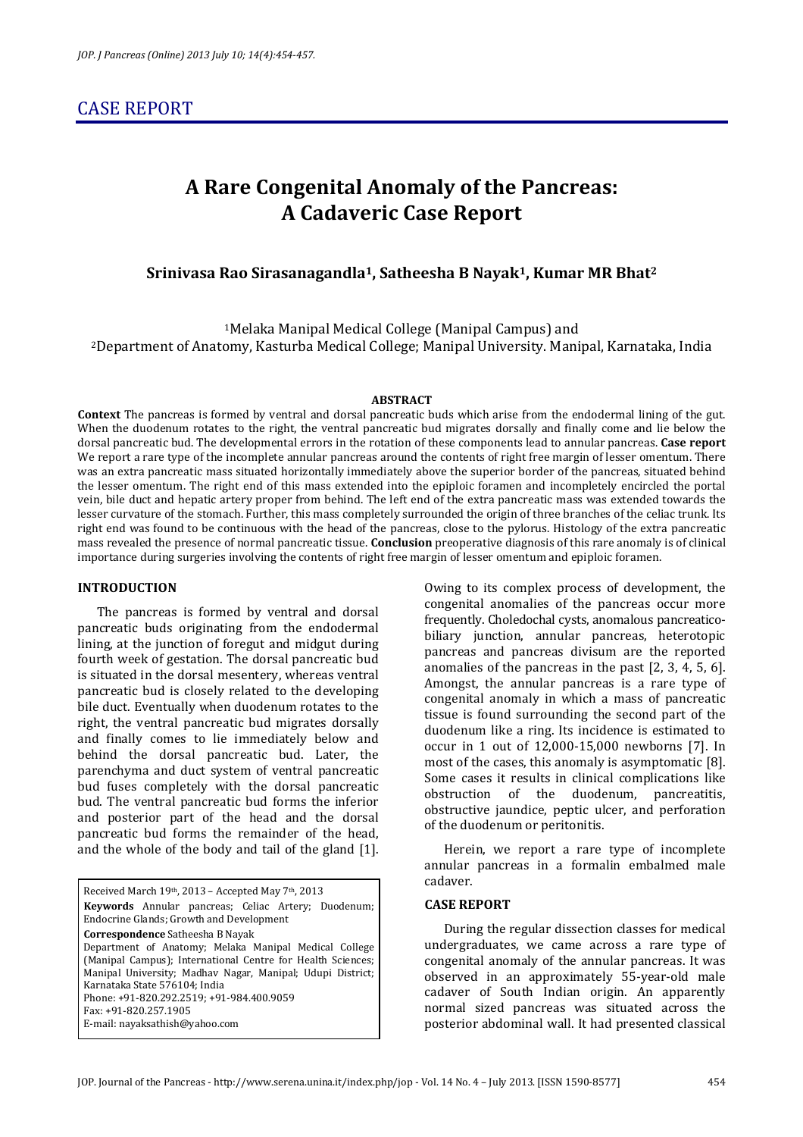# CASE REPORT

# **A Rare Congenital Anomaly of the Pancreas: A Cadaveric Case Report**

## **Srinivasa Rao Sirasanagandla1, Satheesha B Nayak1, Kumar MR Bhat<sup>2</sup>**

<sup>1</sup>Melaka Manipal Medical College (Manipal Campus) and <sup>2</sup>Department of Anatomy, Kasturba Medical College; Manipal University. Manipal, Karnataka, India

#### **ABSTRACT**

**Context** The pancreas is formed by ventral and dorsal pancreatic buds which arise from the endodermal lining of the gut. When the duodenum rotates to the right, the ventral pancreatic bud migrates dorsally and finally come and lie below the dorsal pancreatic bud. The developmental errors in the rotation of these components lead to annular pancreas. **Case report**  We report a rare type of the incomplete annular pancreas around the contents of right free margin of lesser omentum. There was an extra pancreatic mass situated horizontally immediately above the superior border of the pancreas, situated behind the lesser omentum. The right end of this mass extended into the epiploic foramen and incompletely encircled the portal vein, bile duct and hepatic artery proper from behind. The left end of the extra pancreatic mass was extended towards the lesser curvature of the stomach. Further, this mass completely surrounded the origin of three branches of the celiac trunk. Its right end was found to be continuous with the head of the pancreas, close to the pylorus. Histology of the extra pancreatic mass revealed the presence of normal pancreatic tissue. **Conclusion** preoperative diagnosis of this rare anomaly is of clinical importance during surgeries involving the contents of right free margin of lesser omentum and epiploic foramen.

#### **INTRODUCTION**

The pancreas is formed by ventral and dorsal pancreatic buds originating from the endodermal lining, at the junction of foregut and midgut during fourth week of gestation. The dorsal pancreatic bud is situated in the dorsal mesentery, whereas ventral pancreatic bud is closely related to the developing bile duct. Eventually when duodenum rotates to the right, the ventral pancreatic bud migrates dorsally and finally comes to lie immediately below and behind the dorsal pancreatic bud. Later, the parenchyma and duct system of ventral pancreatic bud fuses completely with the dorsal pancreatic bud. The ventral pancreatic bud forms the inferior and posterior part of the head and the dorsal pancreatic bud forms the remainder of the head, and the whole of the body and tail of the gland [1].

Received March 19th, 2013 – Accepted May 7th, 2013 **Keywords** Annular pancreas; Celiac Artery; Duodenum; Endocrine Glands; Growth and Development **Correspondence** Satheesha B Nayak Department of Anatomy; Melaka Manipal Medical College (Manipal Campus); International Centre for Health Sciences; Manipal University; Madhav Nagar, Manipal; Udupi District; Karnataka State 576104; India Phone: +91-820.292.2519; +91-984.400.9059 Fax: +91-820.257.1905 E-mail: nayaksathish@yahoo.com

Owing to its complex process of development, the congenital anomalies of the pancreas occur more frequently. Choledochal cysts, anomalous pancreaticobiliary junction, annular pancreas, heterotopic pancreas and pancreas divisum are the reported anomalies of the pancreas in the past [2, 3, 4, 5, 6]. Amongst, the annular pancreas is a rare type of congenital anomaly in which a mass of pancreatic tissue is found surrounding the second part of the duodenum like a ring. Its incidence is estimated to occur in 1 out of 12,000-15,000 newborns [7]. In most of the cases, this anomaly is asymptomatic [8]. Some cases it results in clinical complications like obstruction of the duodenum, pancreatitis, obstructive jaundice, peptic ulcer, and perforation of the duodenum or peritonitis.

Herein, we report a rare type of incomplete annular pancreas in a formalin embalmed male cadaver.

#### **CASE REPORT**

During the regular dissection classes for medical undergraduates, we came across a rare type of congenital anomaly of the annular pancreas. It was observed in an approximately 55-year-old male cadaver of South Indian origin. An apparently normal sized pancreas was situated across the posterior abdominal wall. It had presented classical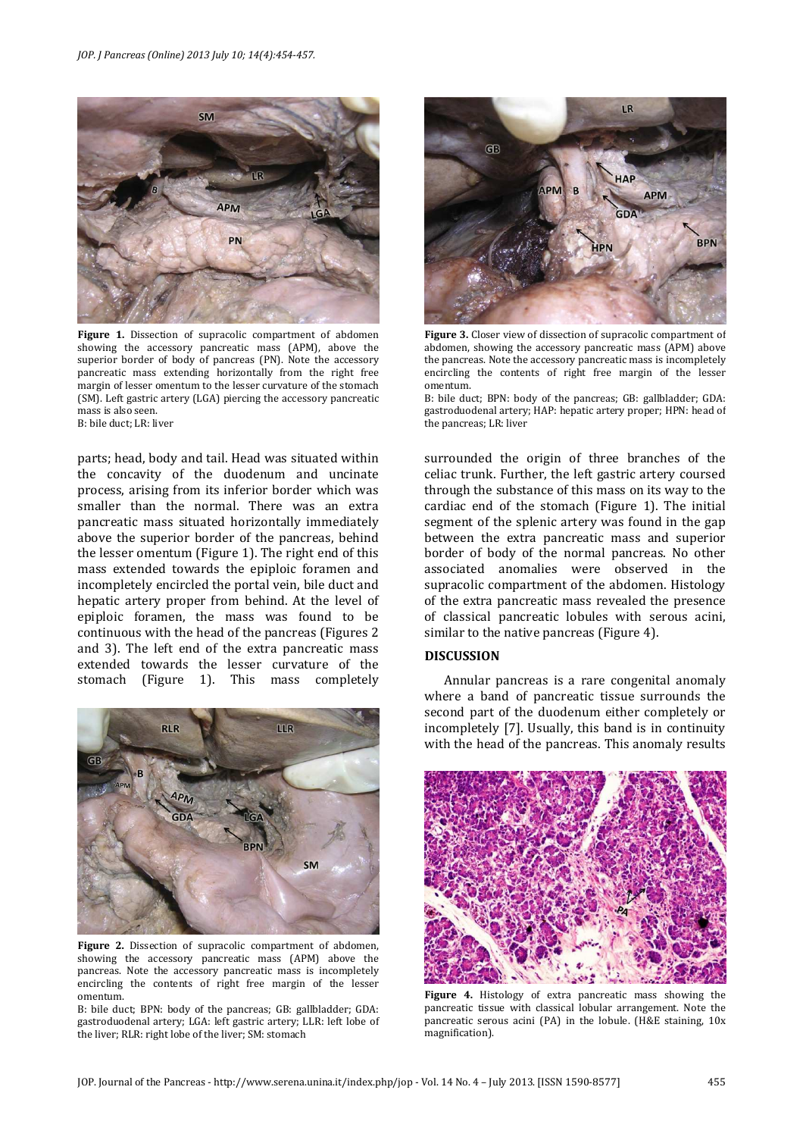

**Figure 1.** Dissection of supracolic compartment of abdomen showing the accessory pancreatic mass (APM), above the superior border of body of pancreas (PN). Note the accessory pancreatic mass extending horizontally from the right free margin of lesser omentum to the lesser curvature of the stomach (SM). Left gastric artery (LGA) piercing the accessory pancreatic mass is also seen. B: bile duct; LR: liver

parts; head, body and tail. Head was situated within the concavity of the duodenum and uncinate process, arising from its inferior border which was smaller than the normal. There was an extra pancreatic mass situated horizontally immediately above the superior border of the pancreas, behind the lesser omentum (Figure 1). The right end of this mass extended towards the epiploic foramen and incompletely encircled the portal vein, bile duct and hepatic artery proper from behind. At the level of epiploic foramen, the mass was found to be continuous with the head of the pancreas (Figures 2 and 3). The left end of the extra pancreatic mass extended towards the lesser curvature of the stomach (Figure 1). This mass completely



**Figure 2.** Dissection of supracolic compartment of abdomen, showing the accessory pancreatic mass (APM) above the pancreas. Note the accessory pancreatic mass is incompletely encircling the contents of right free margin of the lesser omentum.

B: bile duct; BPN: body of the pancreas; GB: gallbladder; GDA: gastroduodenal artery; LGA: left gastric artery; LLR: left lobe of the liver; RLR: right lobe of the liver; SM: stomach



**Figure 3.** Closer view of dissection of supracolic compartment of abdomen, showing the accessory pancreatic mass (APM) above the pancreas. Note the accessory pancreatic mass is incompletely encircling the contents of right free margin of the lesser omentum.

B: bile duct; BPN: body of the pancreas; GB: gallbladder; GDA: gastroduodenal artery; HAP: hepatic artery proper; HPN: head of the pancreas; LR: liver

surrounded the origin of three branches of the celiac trunk. Further, the left gastric artery coursed through the substance of this mass on its way to the cardiac end of the stomach (Figure 1). The initial segment of the splenic artery was found in the gap between the extra pancreatic mass and superior border of body of the normal pancreas. No other associated anomalies were observed in the supracolic compartment of the abdomen. Histology of the extra pancreatic mass revealed the presence of classical pancreatic lobules with serous acini, similar to the native pancreas (Figure 4).

### **DISCUSSION**

Annular pancreas is a rare congenital anomaly where a band of pancreatic tissue surrounds the second part of the duodenum either completely or incompletely [7]. Usually, this band is in continuity with the head of the pancreas. This anomaly results



**Figure 4.** Histology of extra pancreatic mass showing the pancreatic tissue with classical lobular arrangement. Note the pancreatic serous acini (PA) in the lobule. (H&E staining, 10x magnification).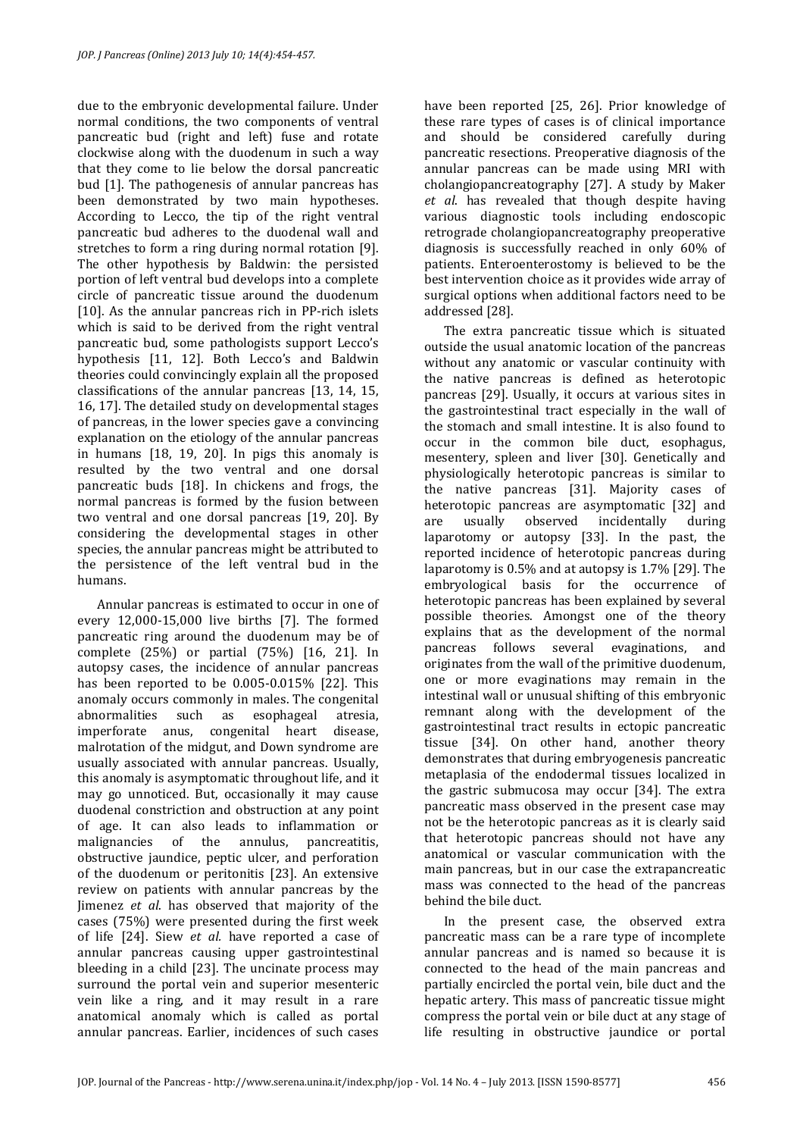due to the embryonic developmental failure. Under normal conditions, the two components of ventral pancreatic bud (right and left) fuse and rotate clockwise along with the duodenum in such a way that they come to lie below the dorsal pancreatic bud [1]. The pathogenesis of annular pancreas has been demonstrated by two main hypotheses. According to Lecco, the tip of the right ventral pancreatic bud adheres to the duodenal wall and stretches to form a ring during normal rotation [9]. The other hypothesis by Baldwin: the persisted portion of left ventral bud develops into a complete circle of pancreatic tissue around the duodenum [10]. As the annular pancreas rich in PP-rich islets which is said to be derived from the right ventral pancreatic bud, some pathologists support Lecco's hypothesis [11, 12]. Both Lecco's and Baldwin theories could convincingly explain all the proposed classifications of the annular pancreas [13, 14, 15, 16, 17]. The detailed study on developmental stages of pancreas, in the lower species gave a convincing explanation on the etiology of the annular pancreas in humans [18, 19, 20]. In pigs this anomaly is resulted by the two ventral and one dorsal pancreatic buds [18]. In chickens and frogs, the normal pancreas is formed by the fusion between two ventral and one dorsal pancreas [19, 20]. By considering the developmental stages in other species, the annular pancreas might be attributed to the persistence of the left ventral bud in the humans.

Annular pancreas is estimated to occur in one of every 12,000-15,000 live births [7]. The formed pancreatic ring around the duodenum may be of complete (25%) or partial (75%) [16, 21]. In autopsy cases, the incidence of annular pancreas has been reported to be 0.005-0.015% [22]. This anomaly occurs commonly in males. The congenital abnormalities such as esophageal atresia, imperforate anus, congenital heart disease, malrotation of the midgut, and Down syndrome are usually associated with annular pancreas. Usually, this anomaly is asymptomatic throughout life, and it may go unnoticed. But, occasionally it may cause duodenal constriction and obstruction at any point of age. It can also leads to inflammation or malignancies of the annulus, pancreatitis, obstructive jaundice, peptic ulcer, and perforation of the duodenum or peritonitis [23]. An extensive review on patients with annular pancreas by the Jimenez *et al*. has observed that majority of the cases (75%) were presented during the first week of life [24]. Siew *et al.* have reported a case of annular pancreas causing upper gastrointestinal bleeding in a child [23]. The uncinate process may surround the portal vein and superior mesenteric vein like a ring, and it may result in a rare anatomical anomaly which is called as portal annular pancreas. Earlier, incidences of such cases

have been reported [25, 26]. Prior knowledge of these rare types of cases is of clinical importance and should be considered carefully during pancreatic resections. Preoperative diagnosis of the annular pancreas can be made using MRI with cholangiopancreatography [27]. A study by Maker *et al*. has revealed that though despite having various diagnostic tools including endoscopic retrograde cholangiopancreatography preoperative diagnosis is successfully reached in only 60% of patients. Enteroenterostomy is believed to be the best intervention choice as it provides wide array of surgical options when additional factors need to be addressed [28].

The extra pancreatic tissue which is situated outside the usual anatomic location of the pancreas without any anatomic or vascular continuity with the native pancreas is defined as heterotopic pancreas [29]. Usually, it occurs at various sites in the gastrointestinal tract especially in the wall of the stomach and small intestine. It is also found to occur in the common bile duct, esophagus, mesentery, spleen and liver [30]. Genetically and physiologically heterotopic pancreas is similar to the native pancreas [31]. Majority cases of heterotopic pancreas are asymptomatic [32] and are usually observed incidentally during laparotomy or autopsy [33]. In the past, the reported incidence of heterotopic pancreas during laparotomy is 0.5% and at autopsy is 1.7% [29]. The embryological basis for the occurrence of heterotopic pancreas has been explained by several possible theories. Amongst one of the theory explains that as the development of the normal pancreas follows several evaginations, and originates from the wall of the primitive duodenum, one or more evaginations may remain in the intestinal wall or unusual shifting of this embryonic remnant along with the development of the gastrointestinal tract results in ectopic pancreatic tissue [34]. On other hand, another theory demonstrates that during embryogenesis pancreatic metaplasia of the endodermal tissues localized in the gastric submucosa may occur [34]. The extra pancreatic mass observed in the present case may not be the heterotopic pancreas as it is clearly said that heterotopic pancreas should not have any anatomical or vascular communication with the main pancreas, but in our case the extrapancreatic mass was connected to the head of the pancreas behind the bile duct.

In the present case, the observed extra pancreatic mass can be a rare type of incomplete annular pancreas and is named so because it is connected to the head of the main pancreas and partially encircled the portal vein, bile duct and the hepatic artery. This mass of pancreatic tissue might compress the portal vein or bile duct at any stage of life resulting in obstructive jaundice or portal